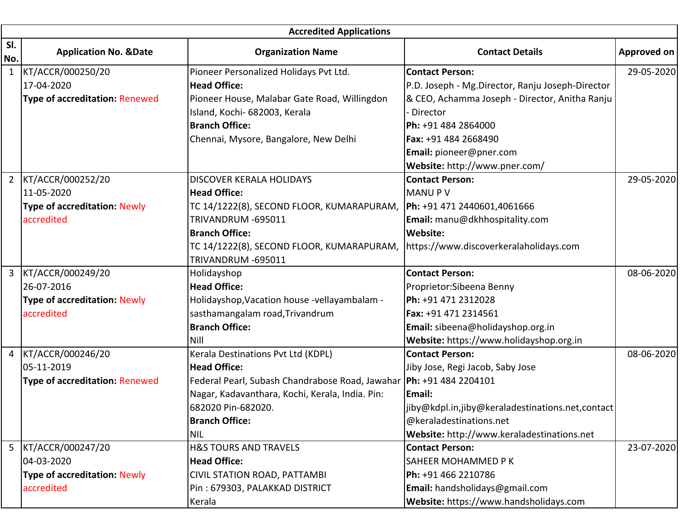|              | <b>Accredited Applications</b>        |                                                                       |                                                  |                    |  |
|--------------|---------------------------------------|-----------------------------------------------------------------------|--------------------------------------------------|--------------------|--|
| SI.<br>No.   | <b>Application No. &amp;Date</b>      | <b>Organization Name</b>                                              | <b>Contact Details</b>                           | <b>Approved on</b> |  |
| $\mathbf{1}$ | KT/ACCR/000250/20                     | Pioneer Personalized Holidays Pvt Ltd.                                | <b>Contact Person:</b>                           | 29-05-2020         |  |
|              | 17-04-2020                            | <b>Head Office:</b>                                                   | P.D. Joseph - Mg.Director, Ranju Joseph-Director |                    |  |
|              | <b>Type of accreditation: Renewed</b> | Pioneer House, Malabar Gate Road, Willingdon                          | & CEO, Achamma Joseph - Director, Anitha Ranju   |                    |  |
|              |                                       | Island, Kochi- 682003, Kerala                                         | Director                                         |                    |  |
|              |                                       | <b>Branch Office:</b>                                                 | Ph: +91 484 2864000                              |                    |  |
|              |                                       | Chennai, Mysore, Bangalore, New Delhi                                 | Fax: +91 484 2668490                             |                    |  |
|              |                                       |                                                                       | Email: pioneer@pner.com                          |                    |  |
|              |                                       |                                                                       | Website: http://www.pner.com/                    |                    |  |
|              | 2 KT/ACCR/000252/20                   | <b>DISCOVER KERALA HOLIDAYS</b>                                       | <b>Contact Person:</b>                           | 29-05-2020         |  |
|              | 11-05-2020                            | <b>Head Office:</b>                                                   | <b>MANUPV</b>                                    |                    |  |
|              | <b>Type of accreditation: Newly</b>   | TC 14/1222(8), SECOND FLOOR, KUMARAPURAM,                             | Ph: +91 471 2440601,4061666                      |                    |  |
|              | accredited                            | TRIVANDRUM -695011                                                    | Email: manu@dkhhospitality.com                   |                    |  |
|              |                                       | <b>Branch Office:</b>                                                 | <b>Website:</b>                                  |                    |  |
|              |                                       | TC 14/1222(8), SECOND FLOOR, KUMARAPURAM,                             | https://www.discoverkeralaholidays.com           |                    |  |
|              |                                       | TRIVANDRUM -695011                                                    |                                                  |                    |  |
| 3            | KT/ACCR/000249/20                     | Holidayshop                                                           | <b>Contact Person:</b>                           | 08-06-2020         |  |
|              | 26-07-2016                            | <b>Head Office:</b>                                                   | Proprietor: Sibeena Benny                        |                    |  |
|              | <b>Type of accreditation: Newly</b>   | Holidayshop, Vacation house -vellayambalam -                          | Ph: +91 471 2312028                              |                    |  |
|              | accredited                            | sasthamangalam road, Trivandrum                                       | Fax: +91 471 2314561                             |                    |  |
|              |                                       | <b>Branch Office:</b>                                                 | Email: sibeena@holidayshop.org.in                |                    |  |
|              |                                       | <b>Nill</b>                                                           | Website: https://www.holidayshop.org.in          |                    |  |
|              | 4 KT/ACCR/000246/20                   | Kerala Destinations Pvt Ltd (KDPL)                                    | <b>Contact Person:</b>                           | 08-06-2020         |  |
|              | 05-11-2019                            | <b>Head Office:</b>                                                   | Jiby Jose, Regi Jacob, Saby Jose                 |                    |  |
|              | <b>Type of accreditation: Renewed</b> | Federal Pearl, Subash Chandrabose Road, Jawahar   Ph: +91 484 2204101 |                                                  |                    |  |
|              |                                       | Nagar, Kadavanthara, Kochi, Kerala, India. Pin:                       | Email:                                           |                    |  |
|              |                                       | 682020 Pin-682020.                                                    | jiby@kdpl.in,jiby@keraladestinations.net,contact |                    |  |
|              |                                       | <b>Branch Office:</b>                                                 | @keraladestinations.net                          |                    |  |
|              |                                       | <b>NIL</b>                                                            | Website: http://www.keraladestinations.net       |                    |  |
|              | 5 KT/ACCR/000247/20                   | <b>H&amp;S TOURS AND TRAVELS</b>                                      | <b>Contact Person:</b>                           | 23-07-2020         |  |
|              | 04-03-2020                            | <b>Head Office:</b>                                                   | SAHEER MOHAMMED P K                              |                    |  |
|              | <b>Type of accreditation: Newly</b>   | CIVIL STATION ROAD, PATTAMBI                                          | Ph: +91 466 2210786                              |                    |  |
|              | accredited                            | Pin: 679303, PALAKKAD DISTRICT                                        | Email: handsholidays@gmail.com                   |                    |  |
|              |                                       | Kerala                                                                | Website: https://www.handsholidays.com           |                    |  |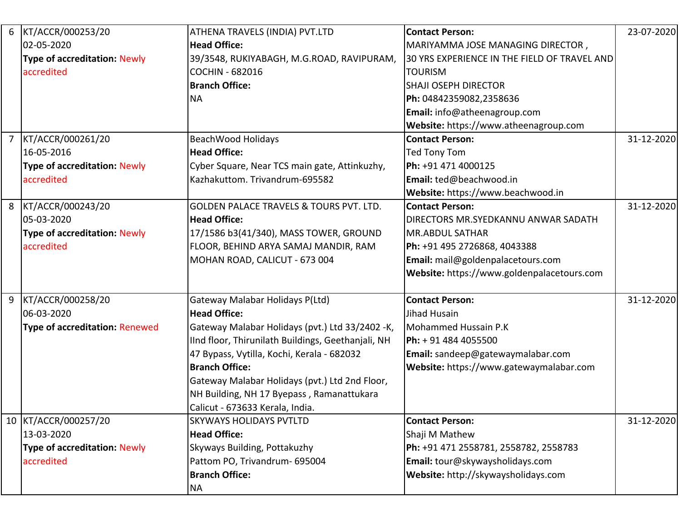| 6 KT/ACCR/000253/20                   | ATHENA TRAVELS (INDIA) PVT.LTD                     | <b>Contact Person:</b>                       | 23-07-2020 |
|---------------------------------------|----------------------------------------------------|----------------------------------------------|------------|
| 02-05-2020                            | <b>Head Office:</b>                                | MARIYAMMA JOSE MANAGING DIRECTOR,            |            |
| <b>Type of accreditation: Newly</b>   | 39/3548, RUKIYABAGH, M.G.ROAD, RAVIPURAM,          | 30 YRS EXPERIENCE IN THE FIELD OF TRAVEL AND |            |
| accredited                            | <b>COCHIN - 682016</b>                             | <b>TOURISM</b>                               |            |
|                                       | <b>Branch Office:</b>                              | <b>SHAJI OSEPH DIRECTOR</b>                  |            |
|                                       | <b>NA</b>                                          | Ph: 04842359082,2358636                      |            |
|                                       |                                                    | Email: info@atheenagroup.com                 |            |
|                                       |                                                    | Website: https://www.atheenagroup.com        |            |
| 7 KT/ACCR/000261/20                   | <b>BeachWood Holidays</b>                          | <b>Contact Person:</b>                       | 31-12-2020 |
| 16-05-2016                            | <b>Head Office:</b>                                | Ted Tony Tom                                 |            |
| <b>Type of accreditation: Newly</b>   | Cyber Square, Near TCS main gate, Attinkuzhy,      | Ph: +91 471 4000125                          |            |
| accredited                            | Kazhakuttom. Trivandrum-695582                     | Email: ted@beachwood.in                      |            |
|                                       |                                                    | Website: https://www.beachwood.in            |            |
| 8 KT/ACCR/000243/20                   | <b>GOLDEN PALACE TRAVELS &amp; TOURS PVT. LTD.</b> | <b>Contact Person:</b>                       | 31-12-2020 |
| 05-03-2020                            | <b>Head Office:</b>                                | DIRECTORS MR.SYEDKANNU ANWAR SADATH          |            |
| <b>Type of accreditation: Newly</b>   | 17/1586 b3(41/340), MASS TOWER, GROUND             | MR.ABDUL SATHAR                              |            |
| accredited                            | FLOOR, BEHIND ARYA SAMAJ MANDIR, RAM               | Ph: +91 495 2726868, 4043388                 |            |
|                                       | MOHAN ROAD, CALICUT - 673 004                      | Email: mail@goldenpalacetours.com            |            |
|                                       |                                                    | Website: https://www.goldenpalacetours.com   |            |
|                                       |                                                    |                                              |            |
| 9 KT/ACCR/000258/20                   | Gateway Malabar Holidays P(Ltd)                    | <b>Contact Person:</b>                       | 31-12-2020 |
| 06-03-2020                            | <b>Head Office:</b>                                | Jihad Husain                                 |            |
| <b>Type of accreditation: Renewed</b> | Gateway Malabar Holidays (pvt.) Ltd 33/2402 -K,    | Mohammed Hussain P.K                         |            |
|                                       | IInd floor, Thirunilath Buildings, Geethanjali, NH | Ph: + 91 484 4055500                         |            |
|                                       | 47 Bypass, Vytilla, Kochi, Kerala - 682032         | Email: sandeep@gatewaymalabar.com            |            |
|                                       | <b>Branch Office:</b>                              | Website: https://www.gatewaymalabar.com      |            |
|                                       | Gateway Malabar Holidays (pvt.) Ltd 2nd Floor,     |                                              |            |
|                                       | NH Building, NH 17 Byepass, Ramanattukara          |                                              |            |
|                                       | Calicut - 673633 Kerala, India.                    |                                              |            |
| 10 KT/ACCR/000257/20                  | <b>SKYWAYS HOLIDAYS PVTLTD</b>                     | <b>Contact Person:</b>                       | 31-12-2020 |
| 13-03-2020                            | <b>Head Office:</b>                                | Shaji M Mathew                               |            |
| <b>Type of accreditation: Newly</b>   | Skyways Building, Pottakuzhy                       | Ph: +91 471 2558781, 2558782, 2558783        |            |
| accredited                            | Pattom PO, Trivandrum- 695004                      | Email: tour@skywaysholidays.com              |            |
|                                       | <b>Branch Office:</b>                              | Website: http://skywaysholidays.com          |            |
|                                       | <b>NA</b>                                          |                                              |            |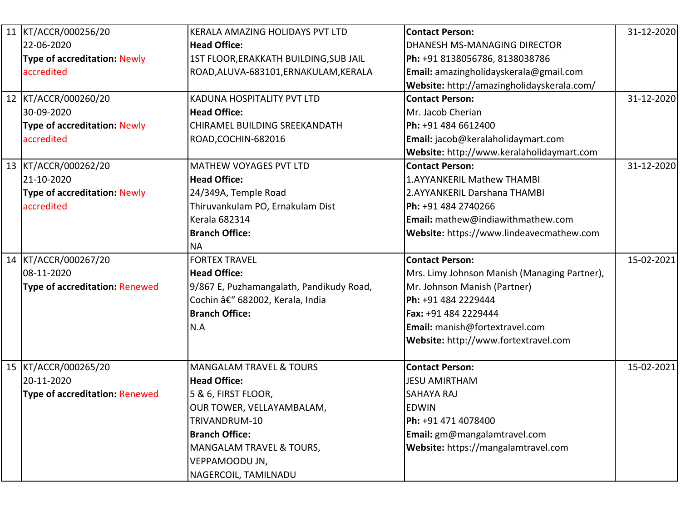| 11 KT/ACCR/000256/20                  | KERALA AMAZING HOLIDAYS PVT LTD          | <b>Contact Person:</b>                       | 31-12-2020 |
|---------------------------------------|------------------------------------------|----------------------------------------------|------------|
| 22-06-2020                            | <b>Head Office:</b>                      | DHANESH MS-MANAGING DIRECTOR                 |            |
| <b>Type of accreditation: Newly</b>   | 1ST FLOOR, ERAKKATH BUILDING, SUB JAIL   | Ph: +91 8138056786, 8138038786               |            |
| accredited                            | ROAD, ALUVA-683101, ERNAKULAM, KERALA    | Email: amazingholidayskerala@gmail.com       |            |
|                                       |                                          | Website: http://amazingholidayskerala.com/   |            |
| 12 KT/ACCR/000260/20                  | KADUNA HOSPITALITY PVT LTD               | <b>Contact Person:</b>                       | 31-12-2020 |
| 30-09-2020                            | <b>Head Office:</b>                      | Mr. Jacob Cherian                            |            |
| <b>Type of accreditation: Newly</b>   | CHIRAMEL BUILDING SREEKANDATH            | Ph: +91 484 6612400                          |            |
| accredited                            | ROAD, COCHIN-682016                      | <b>Email:</b> jacob@keralaholidaymart.com    |            |
|                                       |                                          | Website: http://www.keralaholidaymart.com    |            |
| 13 KT/ACCR/000262/20                  | MATHEW VOYAGES PVT LTD                   | <b>Contact Person:</b>                       | 31-12-2020 |
| 21-10-2020                            | <b>Head Office:</b>                      | 1.AYYANKERIL Mathew THAMBI                   |            |
| <b>Type of accreditation: Newly</b>   | 24/349A, Temple Road                     | 2.AYYANKERIL Darshana THAMBI                 |            |
| accredited                            | Thiruvankulam PO, Ernakulam Dist         | Ph: +91 484 2740266                          |            |
|                                       | <b>Kerala 682314</b>                     | <b>Email:</b> mathew@indiawithmathew.com     |            |
|                                       | <b>Branch Office:</b>                    | Website: https://www.lindeavecmathew.com     |            |
|                                       | <b>NA</b>                                |                                              |            |
| 14 KT/ACCR/000267/20                  | <b>FORTEX TRAVEL</b>                     | <b>Contact Person:</b>                       | 15-02-2021 |
| 08-11-2020                            | <b>Head Office:</b>                      | Mrs. Limy Johnson Manish (Managing Partner), |            |
| <b>Type of accreditation: Renewed</b> | 9/867 E, Puzhamangalath, Pandikudy Road, | Mr. Johnson Manish (Partner)                 |            |
|                                       | Cochin – 682002, Kerala, India           | Ph: +91 484 2229444                          |            |
|                                       | <b>Branch Office:</b>                    | <b>Fax: +91 484 2229444</b>                  |            |
|                                       | N.A                                      | Email: manish@fortextravel.com               |            |
|                                       |                                          | Website: http://www.fortextravel.com         |            |
| 15 KT/ACCR/000265/20                  | <b>MANGALAM TRAVEL &amp; TOURS</b>       | <b>Contact Person:</b>                       | 15-02-2021 |
| 20-11-2020                            | <b>Head Office:</b>                      | <b>JESU AMIRTHAM</b>                         |            |
| <b>Type of accreditation: Renewed</b> | 5 & 6, FIRST FLOOR,                      | <b>SAHAYA RAJ</b>                            |            |
|                                       | OUR TOWER, VELLAYAMBALAM,                | <b>EDWIN</b>                                 |            |
|                                       | TRIVANDRUM-10                            | Ph: +91 471 4078400                          |            |
|                                       | <b>Branch Office:</b>                    | <b>Email:</b> gm@mangalamtravel.com          |            |
|                                       | <b>MANGALAM TRAVEL &amp; TOURS,</b>      | Website: https://mangalamtravel.com          |            |
|                                       | VEPPAMOODU JN,                           |                                              |            |
|                                       | NAGERCOIL, TAMILNADU                     |                                              |            |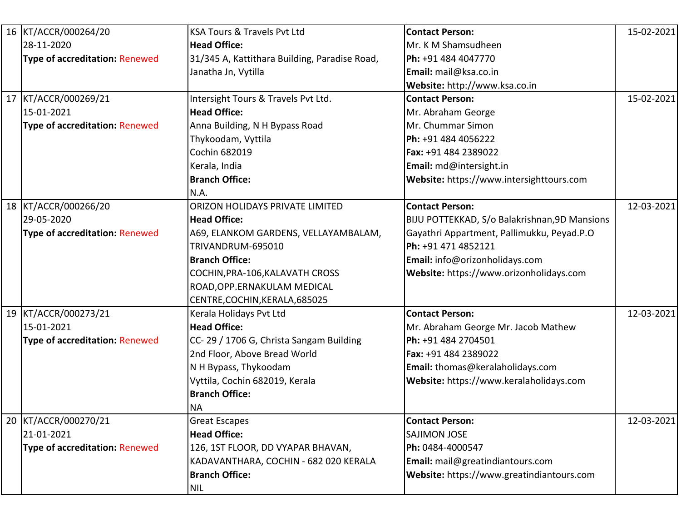| 16 KT/ACCR/000264/20                  | KSA Tours & Travels Pvt Ltd                   | <b>Contact Person:</b>                        | 15-02-2021 |
|---------------------------------------|-----------------------------------------------|-----------------------------------------------|------------|
| 28-11-2020                            | <b>Head Office:</b>                           | Mr. K M Shamsudheen                           |            |
| <b>Type of accreditation: Renewed</b> | 31/345 A, Kattithara Building, Paradise Road, | Ph: +91 484 4047770                           |            |
|                                       | Janatha Jn, Vytilla                           | Email: mail@ksa.co.in                         |            |
|                                       |                                               | Website: http://www.ksa.co.in                 |            |
| 17 KT/ACCR/000269/21                  | Intersight Tours & Travels Pvt Ltd.           | <b>Contact Person:</b>                        | 15-02-2021 |
| 15-01-2021                            | <b>Head Office:</b>                           | Mr. Abraham George                            |            |
| <b>Type of accreditation: Renewed</b> | Anna Building, N H Bypass Road                | Mr. Chummar Simon                             |            |
|                                       | Thykoodam, Vyttila                            | Ph: +91 484 4056222                           |            |
|                                       | Cochin 682019                                 | Fax: +91 484 2389022                          |            |
|                                       | Kerala, India                                 | Email: md@intersight.in                       |            |
|                                       | <b>Branch Office:</b>                         | Website: https://www.intersighttours.com      |            |
|                                       | N.A.                                          |                                               |            |
| 18 KT/ACCR/000266/20                  | ORIZON HOLIDAYS PRIVATE LIMITED               | <b>Contact Person:</b>                        | 12-03-2021 |
| 29-05-2020                            | <b>Head Office:</b>                           | BIJU POTTEKKAD, S/o Balakrishnan, 9D Mansions |            |
| <b>Type of accreditation: Renewed</b> | A69, ELANKOM GARDENS, VELLAYAMBALAM,          | Gayathri Appartment, Pallimukku, Peyad.P.O    |            |
|                                       | TRIVANDRUM-695010                             | Ph: +91 471 4852121                           |            |
|                                       | <b>Branch Office:</b>                         | Email: info@orizonholidays.com                |            |
|                                       | COCHIN, PRA-106, KALAVATH CROSS               | Website: https://www.orizonholidays.com       |            |
|                                       | ROAD, OPP.ERNAKULAM MEDICAL                   |                                               |            |
|                                       | CENTRE, COCHIN, KERALA, 685025                |                                               |            |
| 19 KT/ACCR/000273/21                  | Kerala Holidays Pvt Ltd                       | <b>Contact Person:</b>                        | 12-03-2021 |
| 15-01-2021                            | <b>Head Office:</b>                           | Mr. Abraham George Mr. Jacob Mathew           |            |
| <b>Type of accreditation: Renewed</b> | CC-29 / 1706 G, Christa Sangam Building       | Ph: +91 484 2704501                           |            |
|                                       | 2nd Floor, Above Bread World                  | Fax: +91 484 2389022                          |            |
|                                       | N H Bypass, Thykoodam                         | Email: thomas@keralaholidays.com              |            |
|                                       | Vyttila, Cochin 682019, Kerala                | Website: https://www.keralaholidays.com       |            |
|                                       | <b>Branch Office:</b>                         |                                               |            |
|                                       | <b>NA</b>                                     |                                               |            |
| 20 KT/ACCR/000270/21                  | <b>Great Escapes</b>                          | <b>Contact Person:</b>                        | 12-03-2021 |
| 21-01-2021                            | <b>Head Office:</b>                           | <b>SAJIMON JOSE</b>                           |            |
| <b>Type of accreditation: Renewed</b> | 126, 1ST FLOOR, DD VYAPAR BHAVAN,             | Ph: 0484-4000547                              |            |
|                                       | KADAVANTHARA, COCHIN - 682 020 KERALA         | <b>Email:</b> mail@greatindiantours.com       |            |
|                                       | <b>Branch Office:</b>                         | Website: https://www.greatindiantours.com     |            |
|                                       | <b>NIL</b>                                    |                                               |            |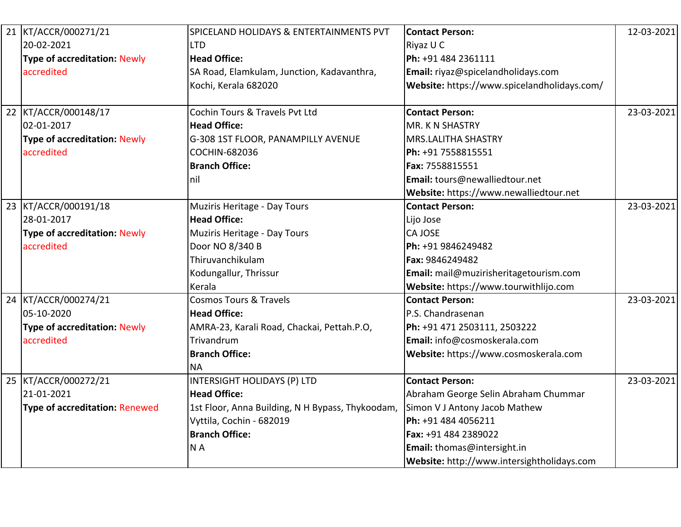| 21 KT/ACCR/000271/21                  | SPICELAND HOLIDAYS & ENTERTAINMENTS PVT          | <b>Contact Person:</b>                      | 12-03-2021 |
|---------------------------------------|--------------------------------------------------|---------------------------------------------|------------|
| 20-02-2021                            | LTD                                              | Riyaz U C                                   |            |
| <b>Type of accreditation: Newly</b>   | <b>Head Office:</b>                              | Ph: +91 484 2361111                         |            |
| accredited                            | SA Road, Elamkulam, Junction, Kadavanthra,       | Email: riyaz@spicelandholidays.com          |            |
|                                       | Kochi, Kerala 682020                             | Website: https://www.spicelandholidays.com/ |            |
|                                       | Cochin Tours & Travels Pvt Ltd                   | <b>Contact Person:</b>                      | 23-03-2021 |
| 22 KT/ACCR/000148/17<br>02-01-2017    | <b>Head Office:</b>                              |                                             |            |
|                                       |                                                  | MR. K N SHASTRY                             |            |
| <b>Type of accreditation: Newly</b>   | G-308 1ST FLOOR, PANAMPILLY AVENUE               | <b>MRS.LALITHA SHASTRY</b>                  |            |
| accredited                            | COCHIN-682036                                    | Ph: +91 7558815551                          |            |
|                                       | <b>Branch Office:</b>                            | Fax: 7558815551                             |            |
|                                       | nil                                              | Email: tours@newalliedtour.net              |            |
|                                       |                                                  | Website: https://www.newalliedtour.net      |            |
| 23 KT/ACCR/000191/18                  | <b>Muziris Heritage - Day Tours</b>              | <b>Contact Person:</b>                      | 23-03-2021 |
| 28-01-2017                            | <b>Head Office:</b>                              | Lijo Jose                                   |            |
| <b>Type of accreditation: Newly</b>   | Muziris Heritage - Day Tours                     | <b>CA JOSE</b>                              |            |
| accredited                            | Door NO 8/340 B                                  | Ph: +91 9846249482                          |            |
|                                       | Thiruvanchikulam                                 | Fax: 9846249482                             |            |
|                                       | Kodungallur, Thrissur                            | Email: mail@muzirisheritagetourism.com      |            |
|                                       | Kerala                                           | Website: https://www.tourwithlijo.com       |            |
| 24 KT/ACCR/000274/21                  | <b>Cosmos Tours &amp; Travels</b>                | <b>Contact Person:</b>                      | 23-03-2021 |
| 05-10-2020                            | <b>Head Office:</b>                              | P.S. Chandrasenan                           |            |
| <b>Type of accreditation: Newly</b>   | AMRA-23, Karali Road, Chackai, Pettah.P.O,       | Ph: +91 471 2503111, 2503222                |            |
| accredited                            | <b>Trivandrum</b>                                | Email: info@cosmoskerala.com                |            |
|                                       | <b>Branch Office:</b>                            | Website: https://www.cosmoskerala.com       |            |
|                                       | <b>NA</b>                                        |                                             |            |
| 25 KT/ACCR/000272/21                  | <b>INTERSIGHT HOLIDAYS (P) LTD</b>               | <b>Contact Person:</b>                      | 23-03-2021 |
| 21-01-2021                            | <b>Head Office:</b>                              | Abraham George Selin Abraham Chummar        |            |
| <b>Type of accreditation: Renewed</b> | 1st Floor, Anna Building, N H Bypass, Thykoodam, | Simon V J Antony Jacob Mathew               |            |
|                                       | Vyttila, Cochin - 682019                         | Ph: +91 484 4056211                         |            |
|                                       | <b>Branch Office:</b>                            | Fax: +91 484 2389022                        |            |
|                                       | N <sub>A</sub>                                   | Email: thomas@intersight.in                 |            |
|                                       |                                                  | Website: http://www.intersightholidays.com  |            |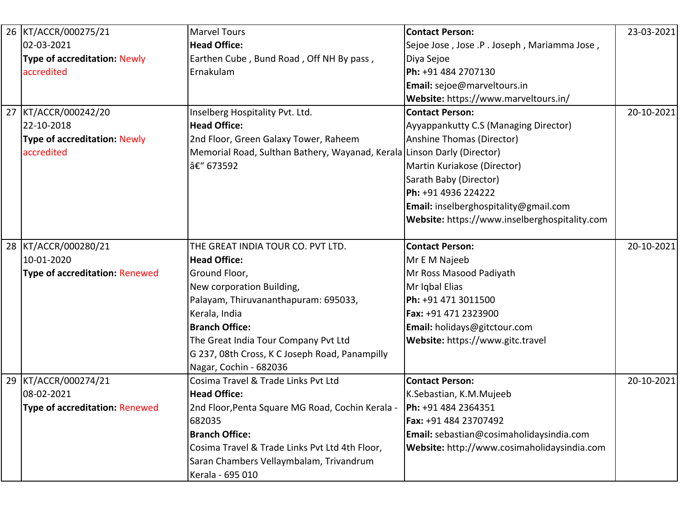| 26 KT/ACCR/000275/21                  | <b>Marvel Tours</b>                                                     | <b>Contact Person:</b>                        | 23-03-2021 |
|---------------------------------------|-------------------------------------------------------------------------|-----------------------------------------------|------------|
| 02-03-2021                            | <b>Head Office:</b>                                                     | Sejoe Jose, Jose .P. Joseph, Mariamma Jose,   |            |
| <b>Type of accreditation: Newly</b>   | Earthen Cube, Bund Road, Off NH By pass,                                | Diya Sejoe                                    |            |
| accredited                            | Ernakulam                                                               | Ph: +91 484 2707130                           |            |
|                                       |                                                                         | Email: sejoe@marveltours.in                   |            |
|                                       |                                                                         | Website: https://www.marveltours.in/          |            |
| 27 KT/ACCR/000242/20                  | Inselberg Hospitality Pvt. Ltd.                                         | <b>Contact Person:</b>                        | 20-10-2021 |
| 22-10-2018                            | <b>Head Office:</b>                                                     | Ayyappankutty C.S (Managing Director)         |            |
| <b>Type of accreditation: Newly</b>   | 2nd Floor, Green Galaxy Tower, Raheem                                   | Anshine Thomas (Director)                     |            |
| accredited                            | Memorial Road, Sulthan Bathery, Wayanad, Kerala Linson Darly (Director) |                                               |            |
|                                       | – 673592                                                                | Martin Kuriakose (Director)                   |            |
|                                       |                                                                         | Sarath Baby (Director)                        |            |
|                                       |                                                                         | Ph: +91 4936 224222                           |            |
|                                       |                                                                         | Email: inselberghospitality@gmail.com         |            |
|                                       |                                                                         | Website: https://www.inselberghospitality.com |            |
|                                       |                                                                         |                                               |            |
| 28 KT/ACCR/000280/21                  | THE GREAT INDIA TOUR CO. PVT LTD.                                       | <b>Contact Person:</b>                        | 20-10-2021 |
| 10-01-2020                            | <b>Head Office:</b>                                                     | Mr E M Najeeb                                 |            |
| <b>Type of accreditation: Renewed</b> | Ground Floor,                                                           | Mr Ross Masood Padiyath                       |            |
|                                       | New corporation Building,                                               | Mr Iqbal Elias                                |            |
|                                       | Palayam, Thiruvananthapuram: 695033,                                    | Ph: +91 471 3011500                           |            |
|                                       | Kerala, India                                                           | Fax: +91 471 2323900                          |            |
|                                       | <b>Branch Office:</b>                                                   | Email: holidays@gitctour.com                  |            |
|                                       | The Great India Tour Company Pvt Ltd                                    | Website: https://www.gitc.travel              |            |
|                                       | G 237, 08th Cross, K C Joseph Road, Panampilly                          |                                               |            |
|                                       | Nagar, Cochin - 682036                                                  |                                               |            |
| 29 KT/ACCR/000274/21                  | Cosima Travel & Trade Links Pvt Ltd                                     | <b>Contact Person:</b>                        | 20-10-2021 |
| 08-02-2021                            | <b>Head Office:</b>                                                     | K.Sebastian, K.M.Mujeeb                       |            |
| Type of accreditation: Renewed        | 2nd Floor, Penta Square MG Road, Cochin Kerala -   Ph: +91 484 2364351  |                                               |            |
|                                       | 682035                                                                  | Fax: +91 484 23707492                         |            |
|                                       | <b>Branch Office:</b>                                                   | Email: sebastian@cosimaholidaysindia.com      |            |
|                                       | Cosima Travel & Trade Links Pvt Ltd 4th Floor,                          | Website: http://www.cosimaholidaysindia.com   |            |
|                                       | Saran Chambers Vellaymbalam, Trivandrum                                 |                                               |            |
|                                       | Kerala - 695 010                                                        |                                               |            |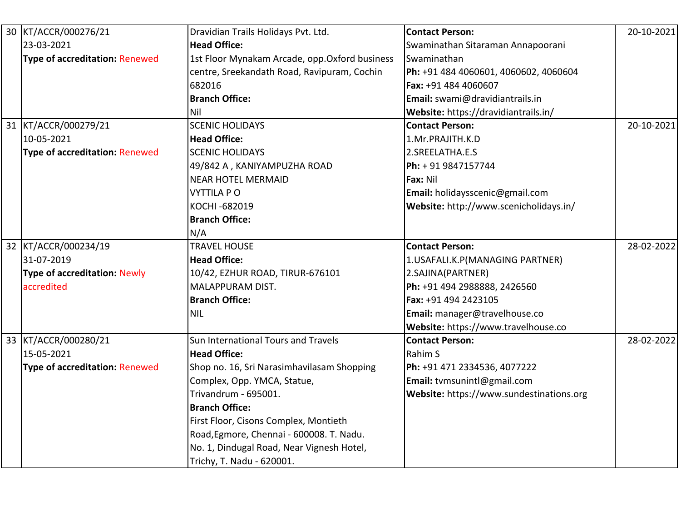| 30 KT/ACCR/000276/21                  | Dravidian Trails Holidays Pvt. Ltd.            | <b>Contact Person:</b>                   | 20-10-2021 |
|---------------------------------------|------------------------------------------------|------------------------------------------|------------|
| 23-03-2021                            | <b>Head Office:</b>                            | Swaminathan Sitaraman Annapoorani        |            |
| <b>Type of accreditation: Renewed</b> | 1st Floor Mynakam Arcade, opp. Oxford business | Swaminathan                              |            |
|                                       | centre, Sreekandath Road, Ravipuram, Cochin    | Ph: +91 484 4060601, 4060602, 4060604    |            |
|                                       | 682016                                         | Fax: +91 484 4060607                     |            |
|                                       | <b>Branch Office:</b>                          | Email: swami@dravidiantrails.in          |            |
|                                       | Nil                                            | Website: https://dravidiantrails.in/     |            |
| 31 KT/ACCR/000279/21                  | <b>SCENIC HOLIDAYS</b>                         | <b>Contact Person:</b>                   | 20-10-2021 |
| 10-05-2021                            | <b>Head Office:</b>                            | 1.Mr.PRAJITH.K.D                         |            |
| <b>Type of accreditation: Renewed</b> | <b>SCENIC HOLIDAYS</b>                         | 2.SREELATHA.E.S                          |            |
|                                       | 49/842 A, KANIYAMPUZHA ROAD                    | Ph: + 91 9847157744                      |            |
|                                       | <b>NEAR HOTEL MERMAID</b>                      | Fax: Nil                                 |            |
|                                       | <b>VYTTILA PO</b>                              | Email: holidaysscenic@gmail.com          |            |
|                                       | KOCHI-682019                                   | Website: http://www.scenicholidays.in/   |            |
|                                       | <b>Branch Office:</b>                          |                                          |            |
|                                       | N/A                                            |                                          |            |
| 32 KT/ACCR/000234/19                  | <b>TRAVEL HOUSE</b>                            | <b>Contact Person:</b>                   | 28-02-2022 |
| 31-07-2019                            | <b>Head Office:</b>                            | 1.USAFALI.K.P(MANAGING PARTNER)          |            |
| <b>Type of accreditation: Newly</b>   | 10/42, EZHUR ROAD, TIRUR-676101                | 2.SAJINA(PARTNER)                        |            |
| accredited                            | MALAPPURAM DIST.                               | Ph: +91 494 2988888, 2426560             |            |
|                                       | <b>Branch Office:</b>                          | Fax: +91 494 2423105                     |            |
|                                       | <b>NIL</b>                                     | Email: manager@travelhouse.co            |            |
|                                       |                                                | Website: https://www.travelhouse.co      |            |
| 33 KT/ACCR/000280/21                  | Sun International Tours and Travels            | <b>Contact Person:</b>                   | 28-02-2022 |
| 15-05-2021                            | <b>Head Office:</b>                            | Rahim S                                  |            |
| <b>Type of accreditation: Renewed</b> | Shop no. 16, Sri Narasimhavilasam Shopping     | Ph: +91 471 2334536, 4077222             |            |
|                                       | Complex, Opp. YMCA, Statue,                    | Email: tvmsunintl@gmail.com              |            |
|                                       | Trivandrum - 695001.                           | Website: https://www.sundestinations.org |            |
|                                       | <b>Branch Office:</b>                          |                                          |            |
|                                       | First Floor, Cisons Complex, Montieth          |                                          |            |
|                                       | Road, Egmore, Chennai - 600008. T. Nadu.       |                                          |            |
|                                       | No. 1, Dindugal Road, Near Vignesh Hotel,      |                                          |            |
|                                       | Trichy, T. Nadu - 620001.                      |                                          |            |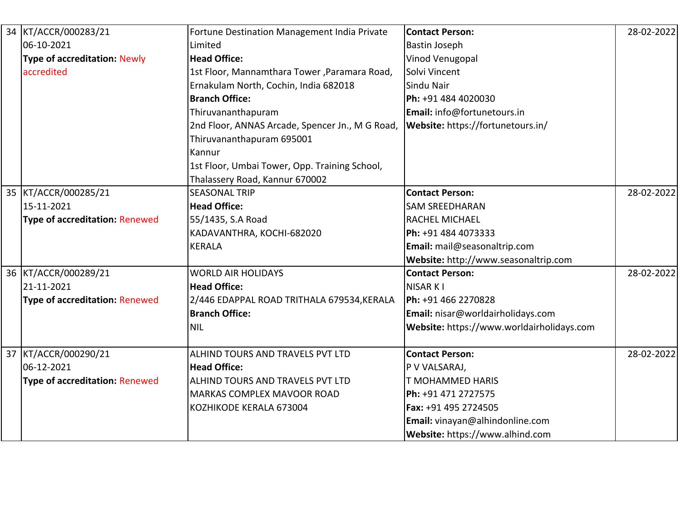| KT/ACCR/000283/21                     | Fortune Destination Management India Private    | <b>Contact Person:</b>                    | 28-02-2022 |
|---------------------------------------|-------------------------------------------------|-------------------------------------------|------------|
| 06-10-2021                            | Limited                                         | <b>Bastin Joseph</b>                      |            |
| <b>Type of accreditation: Newly</b>   | <b>Head Office:</b>                             | Vinod Venugopal                           |            |
| accredited                            | 1st Floor, Mannamthara Tower, Paramara Road,    | Solvi Vincent                             |            |
|                                       | Ernakulam North, Cochin, India 682018           | Sindu Nair                                |            |
|                                       | <b>Branch Office:</b>                           | Ph: +91 484 4020030                       |            |
|                                       | Thiruvananthapuram                              | <b>Email:</b> info@fortunetours.in        |            |
|                                       | 2nd Floor, ANNAS Arcade, Spencer Jn., M G Road, | Website: https://fortunetours.in/         |            |
|                                       | Thiruvananthapuram 695001                       |                                           |            |
|                                       | Kannur                                          |                                           |            |
|                                       | 1st Floor, Umbai Tower, Opp. Training School,   |                                           |            |
|                                       | Thalassery Road, Kannur 670002                  |                                           |            |
| 35 KT/ACCR/000285/21                  | <b>SEASONAL TRIP</b>                            | <b>Contact Person:</b>                    | 28-02-2022 |
| 15-11-2021                            | <b>Head Office:</b>                             | <b>SAM SREEDHARAN</b>                     |            |
| <b>Type of accreditation: Renewed</b> | 55/1435, S.A Road                               | <b>RACHEL MICHAEL</b>                     |            |
|                                       | KADAVANTHRA, KOCHI-682020                       | Ph: +91 484 4073333                       |            |
|                                       | <b>KERALA</b>                                   | Email: mail@seasonaltrip.com              |            |
|                                       |                                                 | Website: http://www.seasonaltrip.com      |            |
| 36 KT/ACCR/000289/21                  | <b>WORLD AIR HOLIDAYS</b>                       | <b>Contact Person:</b>                    | 28-02-2022 |
| 21-11-2021                            | <b>Head Office:</b>                             | <b>NISAR KI</b>                           |            |
| <b>Type of accreditation: Renewed</b> | 2/446 EDAPPAL ROAD TRITHALA 679534,KERALA       | Ph: +91 466 2270828                       |            |
|                                       | <b>Branch Office:</b>                           | Email: nisar@worldairholidays.com         |            |
|                                       | <b>NIL</b>                                      | Website: https://www.worldairholidays.com |            |
| 37 KT/ACCR/000290/21                  | ALHIND TOURS AND TRAVELS PVT LTD                | <b>Contact Person:</b>                    | 28-02-2022 |
| 06-12-2021                            | <b>Head Office:</b>                             | P V VALSARAJ,                             |            |
| <b>Type of accreditation: Renewed</b> | ALHIND TOURS AND TRAVELS PVT LTD                | T MOHAMMED HARIS                          |            |
|                                       | <b>MARKAS COMPLEX MAVOOR ROAD</b>               | Ph: +91 471 2727575                       |            |
|                                       | KOZHIKODE KERALA 673004                         | Fax: +91 495 2724505                      |            |
|                                       |                                                 | Email: vinayan@alhindonline.com           |            |
|                                       |                                                 | Website: https://www.alhind.com           |            |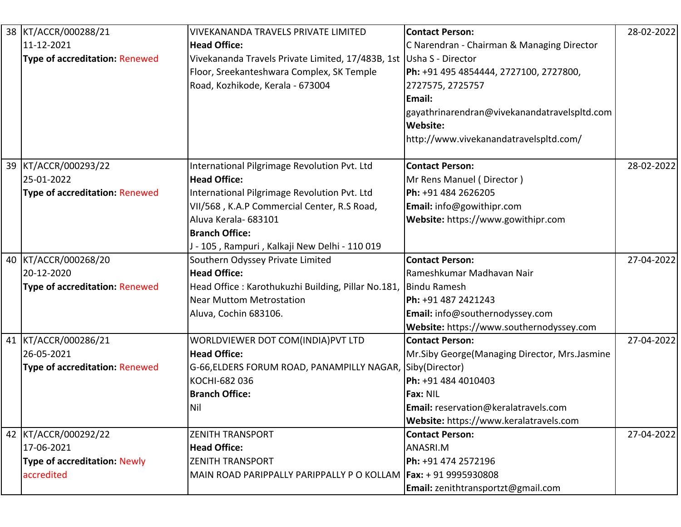| 38 KT/ACCR/000288/21                  | VIVEKANANDA TRAVELS PRIVATE LIMITED                             | <b>Contact Person:</b>                         | 28-02-2022 |
|---------------------------------------|-----------------------------------------------------------------|------------------------------------------------|------------|
| 11-12-2021                            | <b>Head Office:</b>                                             | C Narendran - Chairman & Managing Director     |            |
| <b>Type of accreditation: Renewed</b> | Vivekananda Travels Private Limited, 17/483B, 1st               | Usha S - Director                              |            |
|                                       | Floor, Sreekanteshwara Complex, SK Temple                       | Ph: +91 495 4854444, 2727100, 2727800,         |            |
|                                       | Road, Kozhikode, Kerala - 673004                                | 2727575, 2725757                               |            |
|                                       |                                                                 | Email:                                         |            |
|                                       |                                                                 | gayathrinarendran@vivekanandatravelspltd.com   |            |
|                                       |                                                                 | <b>Website:</b>                                |            |
|                                       |                                                                 | http://www.vivekanandatravelspltd.com/         |            |
| 39 KT/ACCR/000293/22                  | International Pilgrimage Revolution Pvt. Ltd                    | <b>Contact Person:</b>                         | 28-02-2022 |
| 25-01-2022                            | <b>Head Office:</b>                                             | Mr Rens Manuel (Director)                      |            |
| <b>Type of accreditation: Renewed</b> | International Pilgrimage Revolution Pvt. Ltd                    | Ph: +91 484 2626205                            |            |
|                                       | VII/568, K.A.P Commercial Center, R.S Road,                     | Email: info@gowithipr.com                      |            |
|                                       | Aluva Kerala- 683101                                            | Website: https://www.gowithipr.com             |            |
|                                       | <b>Branch Office:</b>                                           |                                                |            |
|                                       | J - 105, Rampuri, Kalkaji New Delhi - 110 019                   |                                                |            |
| 40 KT/ACCR/000268/20                  | Southern Odyssey Private Limited                                | <b>Contact Person:</b>                         | 27-04-2022 |
| 20-12-2020                            | <b>Head Office:</b>                                             | Rameshkumar Madhavan Nair                      |            |
| <b>Type of accreditation: Renewed</b> | Head Office: Karothukuzhi Building, Pillar No.181,              | <b>Bindu Ramesh</b>                            |            |
|                                       | <b>Near Muttom Metrostation</b>                                 | Ph: +91 487 2421243                            |            |
|                                       | Aluva, Cochin 683106.                                           | Email: info@southernodyssey.com                |            |
|                                       |                                                                 | Website: https://www.southernodyssey.com       |            |
| 41 KT/ACCR/000286/21                  | WORLDVIEWER DOT COM(INDIA) PVT LTD                              | <b>Contact Person:</b>                         | 27-04-2022 |
| 26-05-2021                            | <b>Head Office:</b>                                             | Mr.Siby George (Managing Director, Mrs.Jasmine |            |
| <b>Type of accreditation: Renewed</b> | G-66, ELDERS FORUM ROAD, PANAMPILLY NAGAR,                      | Siby(Director)                                 |            |
|                                       | KOCHI-682 036                                                   | Ph: +91 484 4010403                            |            |
|                                       | <b>Branch Office:</b>                                           | Fax: NIL                                       |            |
|                                       | Nil                                                             | Email: reservation@keralatravels.com           |            |
|                                       |                                                                 | Website: https://www.keralatravels.com         |            |
| 42 KT/ACCR/000292/22                  | <b>ZENITH TRANSPORT</b>                                         | <b>Contact Person:</b>                         | 27-04-2022 |
| 17-06-2021                            | <b>Head Office:</b>                                             | ANASRI.M                                       |            |
| <b>Type of accreditation: Newly</b>   | <b>ZENITH TRANSPORT</b>                                         | Ph: +91 474 2572196                            |            |
| accredited                            | MAIN ROAD PARIPPALLY PARIPPALLY P O KOLLAM Fax: + 91 9995930808 |                                                |            |
|                                       |                                                                 | Email: zenithtransportzt@gmail.com             |            |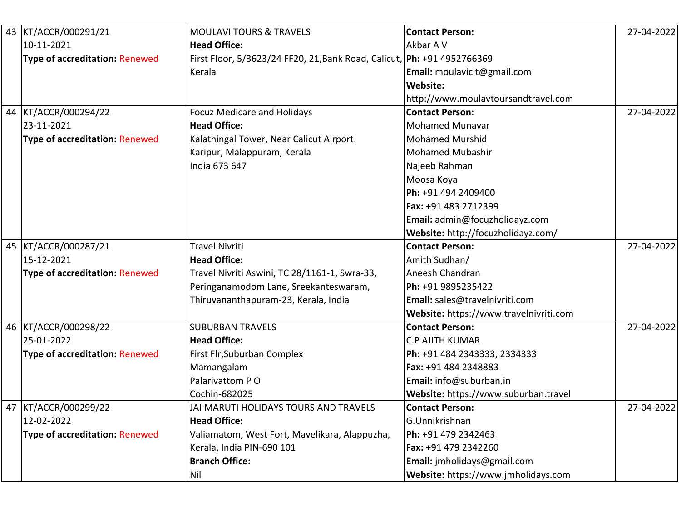| 43 KT/ACCR/000291/21                  | <b>MOULAVI TOURS &amp; TRAVELS</b>                                        | <b>Contact Person:</b>                 | 27-04-2022 |
|---------------------------------------|---------------------------------------------------------------------------|----------------------------------------|------------|
| 10-11-2021                            | <b>Head Office:</b>                                                       | Akbar A V                              |            |
| <b>Type of accreditation: Renewed</b> | First Floor, 5/3623/24 FF20, 21, Bank Road, Calicut,   Ph: +91 4952766369 |                                        |            |
|                                       | Kerala                                                                    | Email: moulavicit@gmail.com            |            |
|                                       |                                                                           | Website:                               |            |
|                                       |                                                                           | http://www.moulavtoursandtravel.com    |            |
| 44 KT/ACCR/000294/22                  | <b>Focuz Medicare and Holidays</b>                                        | <b>Contact Person:</b>                 | 27-04-2022 |
| 23-11-2021                            | <b>Head Office:</b>                                                       | <b>Mohamed Munavar</b>                 |            |
| <b>Type of accreditation: Renewed</b> | Kalathingal Tower, Near Calicut Airport.                                  | <b>Mohamed Murshid</b>                 |            |
|                                       | Karipur, Malappuram, Kerala                                               | <b>Mohamed Mubashir</b>                |            |
|                                       | India 673 647                                                             | Najeeb Rahman                          |            |
|                                       |                                                                           | Moosa Koya                             |            |
|                                       |                                                                           | Ph: +91 494 2409400                    |            |
|                                       |                                                                           | Fax: +91 483 2712399                   |            |
|                                       |                                                                           | Email: admin@focuzholidayz.com         |            |
|                                       |                                                                           | Website: http://focuzholidayz.com/     |            |
| 45 KT/ACCR/000287/21                  | <b>Travel Nivriti</b>                                                     | <b>Contact Person:</b>                 | 27-04-2022 |
| 15-12-2021                            | <b>Head Office:</b>                                                       | Amith Sudhan/                          |            |
| <b>Type of accreditation: Renewed</b> | Travel Nivriti Aswini, TC 28/1161-1, Swra-33,                             | Aneesh Chandran                        |            |
|                                       | Peringanamodom Lane, Sreekanteswaram,                                     | Ph: +91 9895235422                     |            |
|                                       | Thiruvananthapuram-23, Kerala, India                                      | Email: sales@travelnivriti.com         |            |
|                                       |                                                                           | Website: https://www.travelnivriti.com |            |
| 46 KT/ACCR/000298/22                  | <b>SUBURBAN TRAVELS</b>                                                   | <b>Contact Person:</b>                 | 27-04-2022 |
| 25-01-2022                            | <b>Head Office:</b>                                                       | <b>C.P AJITH KUMAR</b>                 |            |
| <b>Type of accreditation: Renewed</b> | First Flr, Suburban Complex                                               | Ph: +91 484 2343333, 2334333           |            |
|                                       | Mamangalam                                                                | Fax: +91 484 2348883                   |            |
|                                       | Palarivattom PO                                                           | Email: info@suburban.in                |            |
|                                       | Cochin-682025                                                             | Website: https://www.suburban.travel   |            |
| 47 KT/ACCR/000299/22                  | JAI MARUTI HOLIDAYS TOURS AND TRAVELS                                     | <b>Contact Person:</b>                 | 27-04-2022 |
| 12-02-2022                            | <b>Head Office:</b>                                                       | G.Unnikrishnan                         |            |
| <b>Type of accreditation: Renewed</b> | Valiamatom, West Fort, Mavelikara, Alappuzha,                             | Ph: +91 479 2342463                    |            |
|                                       | Kerala, India PIN-690 101                                                 | Fax: +91 479 2342260                   |            |
|                                       | <b>Branch Office:</b>                                                     | Email: jmholidays@gmail.com            |            |
|                                       | Nil                                                                       | Website: https://www.jmholidays.com    |            |